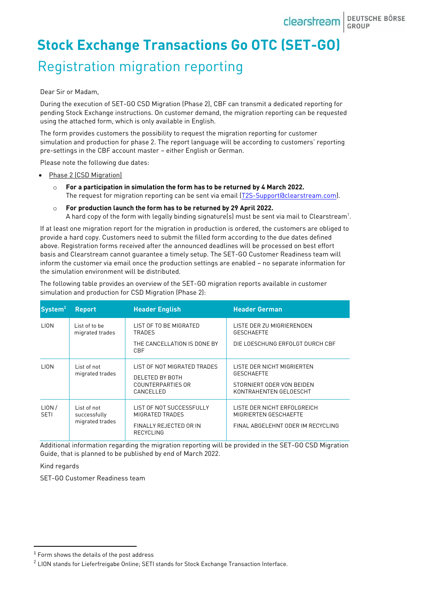# **Stock Exchange Transactions Go OTC (SET-GO)** Registration migration reporting

#### Dear Sir or Madam,

During the execution of SET-GO CSD Migration (Phase 2), CBF can transmit a dedicated reporting for pending Stock Exchange instructions. On customer demand, the migration reporting can be requested using the attached form, which is only available in English.

The form provides customers the possibility to request the migration reporting for customer simulation and production for phase 2. The report language will be according to customers' reporting pre-settings in the CBF account master – either English or German.

Please note the following due dates:

- Phase 2 (CSD Migration)
	- o **For a participation in simulation the form has to be returned by 4 March 2022.** The request for migration reporting can be sent via email [\(T2S-Support@clearstream.com\)](mailto:T2S-Support@clearstream.com).
	- o **For production launch the form has to be returned by 29 April 2022.** A hard copy of the form with legally binding signature(s) must be sent via mail to Clearstream $^{\rm 1}.$

If at least one migration report for the migration in production is ordered, the customers are obliged to provide a hard copy. Customers need to submit the filled form according to the due dates defined above. Registration forms received after the announced deadlines will be processed on best effort basis and Clearstream cannot guarantee a timely setup. The SET-GO Customer Readiness team will inform the customer via email once the production settings are enabled – no separate information for the simulation environment will be distributed.

The following table provides an overview of the SET-GO migration reports available in customer simulation and production for CSD Migration (Phase 2):

| System <sup>2</sup>  | <b>Report</b>                                  | <b>Header English</b>                                                                     | <b>Header German</b>                                                                                   |
|----------------------|------------------------------------------------|-------------------------------------------------------------------------------------------|--------------------------------------------------------------------------------------------------------|
| <b>LION</b>          | List of to be<br>migrated trades               | LIST OF TO BE MIGRATED<br><b>TRADES</b><br>THE CANCELLATION IS DONE BY<br>CBF             | LISTE DER ZU MIGRIERENDEN<br><b>GESCHAEFTE</b><br>DIE LOESCHUNG ERFOLGT DURCH CBF                      |
| <b>LION</b>          | List of not<br>migrated trades                 | LIST OF NOT MIGRATED TRADES<br>DELETED BY BOTH<br>COUNTERPARTIES OR<br>CANCELLED          | LISTE DER NICHT MIGRIERTEN<br><b>GESCHAEFTE</b><br>STORNIERT ODER VON BEIDEN<br>KONTRAHENTEN GELOESCHT |
| LION/<br><b>SETI</b> | List of not<br>successfully<br>migrated trades | LIST OF NOT SUCCESSFULLY<br>MIGRATED TRADES<br>FINALLY REJECTED OR IN<br><b>RECYCLING</b> | LISTE DER NICHT ERFOLGREICH<br>MIGRIERTEN GESCHAEFTE<br>FINAL ABGELEHNT ODER IM RECYCLING              |

Additional information regarding the migration reporting will be provided in the SET-GO CSD Migration Guide, that is planned to be published by end of March 2022.

### Kind regards

SET-GO Customer Readiness team

<sup>&</sup>lt;sup>1</sup> Form shows the details of the post address

 $^{\rm 2}$  LION stands for Lieferfreigabe Online; SETI stands for Stock Exchange Transaction Interface.